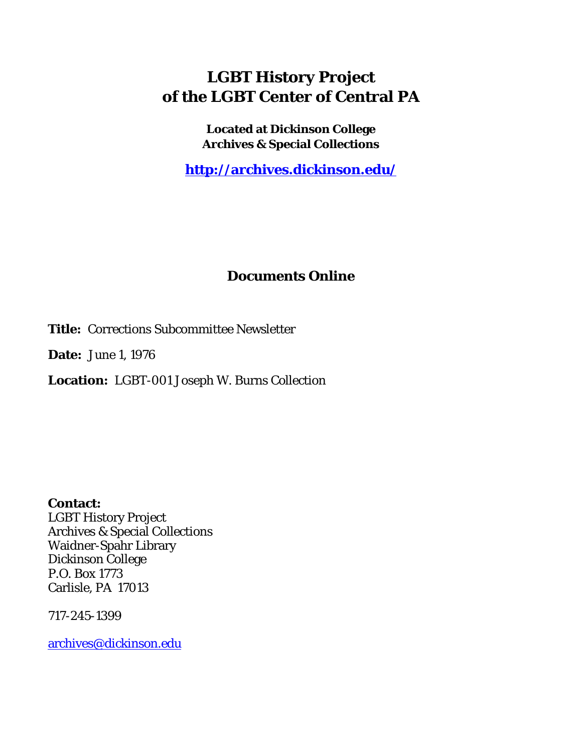## **LGBT History Project of the LGBT Center of Central PA**

**Located at Dickinson College Archives & Special Collections**

**<http://archives.dickinson.edu/>**

## **Documents Online**

**Title:** Corrections Subcommittee Newsletter

**Date:** June 1, 1976

**Location:** LGBT-001 Joseph W. Burns Collection

**Contact:**  LGBT History Project Archives & Special Collections Waidner-Spahr Library Dickinson College P.O. Box 1773 Carlisle, PA 17013

717-245-1399

[archives@dickinson.edu](mailto:archives@dickinson.edu)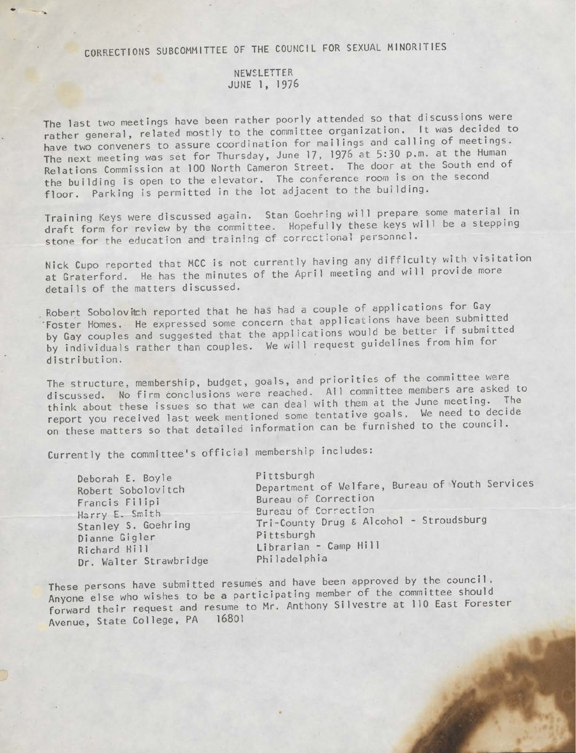## CORRECTIONS SUBCOMMITTEE OF THE COUNCIL FOR SEXUAL MINORITIES

## NEWSLETTER JUNE 1, 1976

The last two meetings have been rather poorly attended so that discussions were rather general, related mostly to the committee organization. It was decided to have two conveners to assure coordination for mailings and calling of meetings. The next meeting was set for Thursday, June 17, <sup>1976</sup> at 5:30 p.m. at the Human Relations Commission at 100 North Cameron Street. The door at the South end of the building is open to the elevator. The conference room is on the second floor. Parking is permitted in the lot adjacent to the building.

Training Keys were discussed again. Stan Goehring will prepare some material in Training Keys were discussed again. Stan doeming will proper until be a stepping<br>draft form for review by the committee. Hopefully these keys will be a stepping stone for the education and training of correctional personnel.

Nick Cupo reported that MCC is not currently having any difficulty with visitation at Graterford. He has the minutes of the April meeting and will provide more details of the matters discussed.

Robert Soboloviteh reported that he has had <sup>a</sup> couple of applications for Gay Foster Homes. He expressed some concern that applications have been submitted by Gay couples and suggested that the applications would be better if submitted by individuals rather than couples. We will request guidelines from him for distribution.

The structure, membership, budget, goals, and priorities of the committee were discussed. No firm conclusions were reached. All committee members are asked to think about these issues so that we can deal with them at the June meeting. The report you received last week mentioned some tentative goals. We need to decide on these matters so that detailed information can be furnished to the council.

Currently the committee's official membership includes.

| Deborah E. Boyle<br>Robert Sobolovitch<br>Francis Filipi<br>Harry E. Smith<br>Stanley S. Goehring<br>Dianne Gigler<br>Richard Hill<br>Dr. Walter Strawbridge | Department of Welfare, Bureau of Youth Services<br>Bureau of Correction<br>Bureau of Correction<br>Tri-County Drug & Alcohol - Stroudsburg<br>Pittsburgh<br>Librarian - Camp Hill<br>Philadelphia |
|--------------------------------------------------------------------------------------------------------------------------------------------------------------|---------------------------------------------------------------------------------------------------------------------------------------------------------------------------------------------------|
|--------------------------------------------------------------------------------------------------------------------------------------------------------------|---------------------------------------------------------------------------------------------------------------------------------------------------------------------------------------------------|

These persons have submitted resumes and have been approved by the council. Anyone else who wishes to be <sup>a</sup> participating member of the committee should forward their request and resume to Mr. Anthony Silvestre at <sup>110</sup> East Forester Avenue, State College, PA 16801